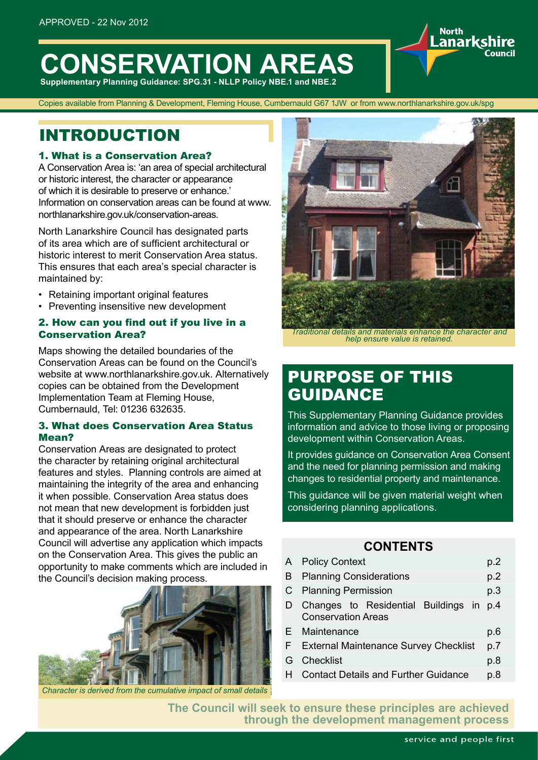# **CONSERVATION AREAS**

**Supplementary Planning Guidance: SPG.31 - NLLP Policy NBE.1 and NBE.2** 

Copies available from Planning & Development, Fleming House, Cumbernauld G67 1JW or from www.northlanarkshire.gov.uk/spg

### INTRODUCTION

### 1. What is a Conservation Area?

A Conservation Area is: 'an area of special architectural or historic interest, the character or appearance of which it is desirable to preserve or enhance.' Information on conservation areas can be found at www. northlanarkshire.gov.uk/conservation-areas.

North Lanarkshire Council has designated parts of its area which are of sufficient architectural or historic interest to merit Conservation Area status. This ensures that each area's special character is maintained by:

- Retaining important original features
- Preventing insensitive new development

### 2. How can you find out if you live in a Conservation Area?

Maps showing the detailed boundaries of the Conservation Areas can be found on the Council's website at www.northlanarkshire.gov.uk. Alternatively copies can be obtained from the Development Implementation Team at Fleming House, Cumbernauld, Tel: 01236 632635.

### 3. What does Conservation Area Status Mean?

Conservation Areas are designated to protect the character by retaining original architectural features and styles. Planning controls are aimed at maintaining the integrity of the area and enhancing it when possible. Conservation Area status does not mean that new development is forbidden just that it should preserve or enhance the character and appearance of the area. North Lanarkshire Council will advertise any application which impacts on the Conservation Area. This gives the public an opportunity to make comments which are included in the Council's decision making process.



*Character is derived from the cumulative impact of small details*



**North** anarks

*Traditional details and materials enhance the character and help ensure value is retained.*

### PURPOSE OF THIS GUIDANCE

This Supplementary Planning Guidance provides information and advice to those living or proposing development within Conservation Areas.

It provides guidance on Conservation Area Consent and the need for planning permission and making changes to residential property and maintenance.

This guidance will be given material weight when considering planning applications.

### **CONTENTS**

|    | A Policy Context                                                     |     |  |  |
|----|----------------------------------------------------------------------|-----|--|--|
| B  | <b>Planning Considerations</b>                                       |     |  |  |
|    | C Planning Permission                                                |     |  |  |
| D  | Changes to Residential Buildings in p.4<br><b>Conservation Areas</b> |     |  |  |
|    | E Maintenance                                                        | p.6 |  |  |
|    | F External Maintenance Survey Checklist                              |     |  |  |
| G  | Checklist                                                            | p.8 |  |  |
| H. | <b>Contact Details and Further Guidance</b>                          | p.8 |  |  |
|    |                                                                      |     |  |  |

**The Council will seek to ensure these principles are achieved through the development management process**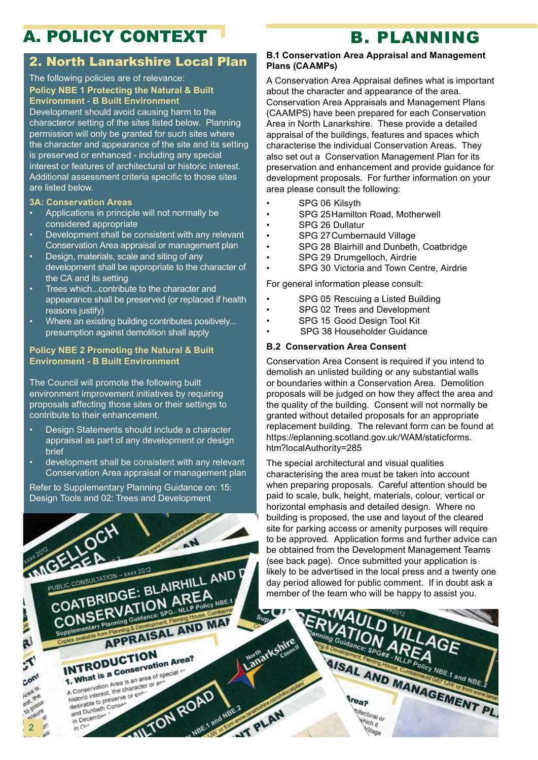# A. POLICY CONTEXT B. PLANNING

### 2. North Lanarkshire Local Plan

#### The following policies are of relevance: **Policy NBE 1 Protecting the Natural & Built Environment** - **B Built Environment**

Development should avoid causing harm to the characteror setting of the sites listed below. Planning permission will only be granted for such sites where the character and appearance of the site and its setting is preserved or enhanced - including any special interest or features of architectural or historic interest. Additional assessment criteria specific to those sites are listed below.

### **3A: Conservation Areas**

- Applications in principle will not normally be considered appropriate
- Development shall be consistent with any relevant Conservation Area appraisal or management plan
- Design, materials, scale and siting of any development shall be appropriate to the character of the CA and its setting
- Trees which...contribute to the character and appearance shall be preserved (or replaced if health reasons justify)
- Where an existing building contributes positively... presumption against demolition shall apply

### **Policy NBE 2 Promoting the Natural & Built Environment - B Built Environment**

The Council will promote the following built environment improvement initiatives by requiring proposals affecting those sites or their settings to contribute to their enhancement.

- Design Statements should include a character appraisal as part of any development or design brief
- development shall be consistent with any relevant Conservation Area appraisal or management plan

Refer to Supplementary Planning Guidance on: 15: Design Tools and 02: Trees and Development



2

### **B.1 Conservation Area Appraisal and Management Plans (CAAMPs)**

A Conservation Area Appraisal defines what is important about the character and appearance of the area. Conservation Area Appraisals and Management Plans (CAAMPS) have been prepared for each Conservation Area in North Lanarkshire. These provide a detailed appraisal of the buildings, features and spaces which characterise the individual Conservation Areas. They also set out a Conservation Management Plan for its preservation and enhancement and provide guidance for development proposals. For further information on your area please consult the following:

- SPG 06 Kilsyth
- SPG 25Hamilton Road, Motherwell
- SPG 26 Dullatur
- SPG 27Cumbernauld Village
- SPG 28 Blairhill and Dunbeth, Coatbridge
- SPG 29 Drumgelloch, Airdrie
- SPG 30 Victoria and Town Centre, Airdrie

For general information please consult:

- SPG 05 Rescuing a Listed Building
- SPG 02 Trees and Development
- SPG 15 Good Design Tool Kit
- SPG 38 Householder Guidance

### **B.2 Conservation Area Consent**

Conservation Area Consent is required if you intend to demolish an unlisted building or any substantial walls or boundaries within a Conservation Area. Demolition proposals will be judged on how they affect the area and the quality of the building. Consent will not normally be granted without detailed proposals for an appropriate replacement building. The relevant form can be found at https://eplanning.scotland.gov.uk/WAM/staticforms. htm?localAuthority=285

The special architectural and visual qualities characterising the area must be taken into account when preparing proposals. Careful attention should be paid to scale, bulk, height, materials, colour, vertical or horizontal emphasis and detailed design. Where no building is proposed, the use and layout of the cleared site for parking access or amenity purposes will require to be approved. Application forms and further advice can be obtained from the Development Management Teams (see back page). Once submitted your application is likely to be advertised in the local press and a twenty one day period allowed for public comment. If in doubt ask a member of the team who will be happy to assist you.

**AISAL AND MANAGEMENT PL** 

thectural or

thich it Village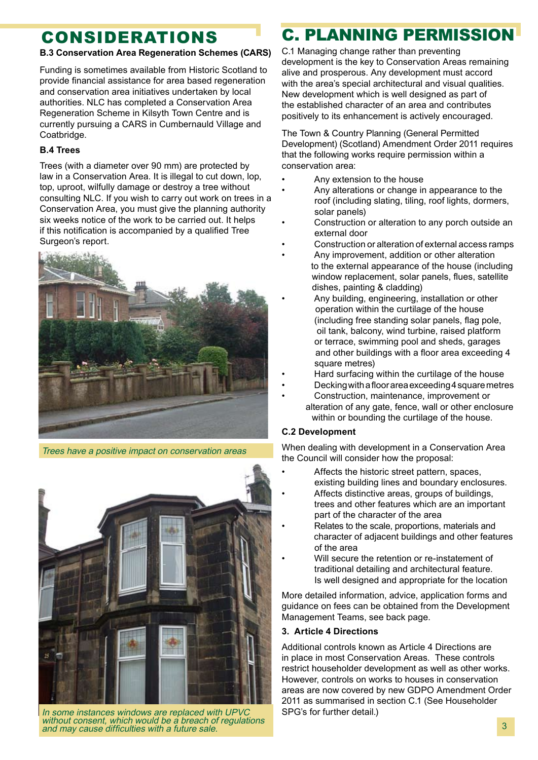# **CONSIDERATIONS**

### **B.3 Conservation Area Regeneration Schemes (CARS)**

Funding is sometimes available from Historic Scotland to provide financial assistance for area based regeneration and conservation area initiatives undertaken by local authorities. NLC has completed a Conservation Area Regeneration Scheme in Kilsyth Town Centre and is currently pursuing a CARS in Cumbernauld Village and Coatbridge.

### **B.4 Trees**

Trees (with a diameter over 90 mm) are protected by law in a Conservation Area. It is illegal to cut down, lop, top, uproot, wilfully damage or destroy a tree without consulting NLC. If you wish to carry out work on trees in a Conservation Area, you must give the planning authority six weeks notice of the work to be carried out. It helps if this notification is accompanied by a qualified Tree Surgeon's report.



Trees have a positive impact on conservation areas



In some instances windows are replaced with UPVC without consent, which would be a breach of regulations and may cause difficulties with a future sale.

# C. PLANNING PERMISSION

C.1 Managing change rather than preventing development is the key to Conservation Areas remaining alive and prosperous. Any development must accord with the area's special architectural and visual qualities. New development which is well designed as part of the established character of an area and contributes positively to its enhancement is actively encouraged.

The Town & Country Planning (General Permitted Development) (Scotland) Amendment Order 2011 requires that the following works require permission within a conservation area:

- Any extension to the house
- Any alterations or change in appearance to the roof (including slating, tiling, roof lights, dormers, solar panels)
- Construction or alteration to any porch outside an external door
- Construction or alteration of external access ramps
- Any improvement, addition or other alteration. to the external appearance of the house (including window replacement, solar panels, flues, satellite dishes, painting & cladding)
- Any building, engineering, installation or other operation within the curtilage of the house (including free standing solar panels, flag pole, oil tank, balcony, wind turbine, raised platform or terrace, swimming pool and sheds, garages and other buildings with a floor area exceeding 4 square metres)
- Hard surfacing within the curtilage of the house
- Decking with a floor area exceeding 4 square metres
- Construction, maintenance, improvement or alteration of any gate, fence, wall or other enclosure within or bounding the curtilage of the house.

### **C.2 Development**

When dealing with development in a Conservation Area the Council will consider how the proposal:

- Affects the historic street pattern, spaces, existing building lines and boundary enclosures.
- Affects distinctive areas, groups of buildings, trees and other features which are an important part of the character of the area
- Relates to the scale, proportions, materials and character of adjacent buildings and other features of the area
- Will secure the retention or re-instatement of traditional detailing and architectural feature. Is well designed and appropriate for the location

More detailed information, advice, application forms and guidance on fees can be obtained from the Development Management Teams, see back page.

### **3. Article 4 Directions**

Additional controls known as Article 4 Directions are in place in most Conservation Areas. These controls restrict householder development as well as other works. However, controls on works to houses in conservation areas are now covered by new GDPO Amendment Order 2011 as summarised in section C.1 (See Householder SPG's for further detail.)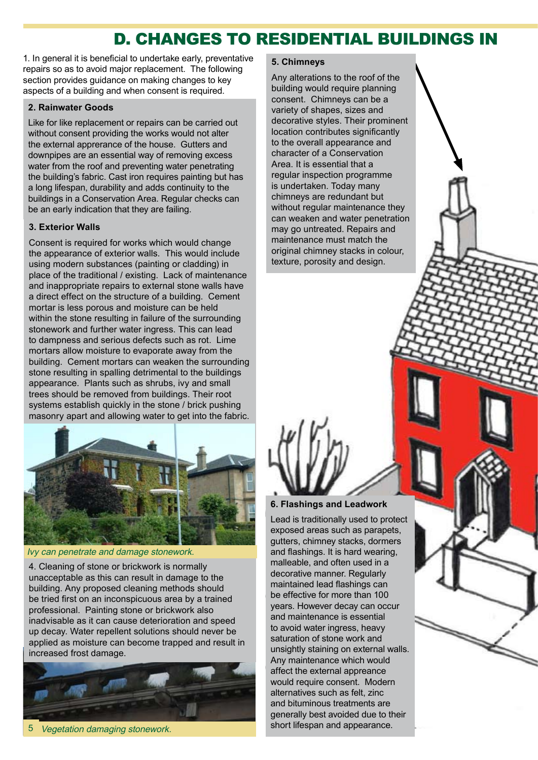### D. CHANGES TO RESIDENTIAL BUILDINGS IN

1. In general it is beneficial to undertake early, preventative repairs so as to avoid major replacement. The following section provides guidance on making changes to key aspects of a building and when consent is required.

### **2. Rainwater Goods**

Like for like replacement or repairs can be carried out without consent providing the works would not alter the external apprerance of the house. Gutters and downpipes are an essential way of removing excess water from the roof and preventing water penetrating the building's fabric. Cast iron requires painting but has a long lifespan, durability and adds continuity to the buildings in a Conservation Area. Regular checks can be an early indication that they are failing.

#### **3. Exterior Walls**

Consent is required for works which would change the appearance of exterior walls. This would include using modern substances (painting or cladding) in place of the traditional / existing. Lack of maintenance and inappropriate repairs to external stone walls have a direct effect on the structure of a building. Cement mortar is less porous and moisture can be held within the stone resulting in failure of the surrounding stonework and further water ingress. This can lead to dampness and serious defects such as rot. Lime mortars allow moisture to evaporate away from the building. Cement mortars can weaken the surrounding stone resulting in spalling detrimental to the buildings appearance. Plants such as shrubs, ivy and small trees should be removed from buildings. Their root systems establish quickly in the stone / brick pushing masonry apart and allowing water to get into the fabric.



Ivy can penetrate and damage stonework.

4. Cleaning of stone or brickwork is normally unacceptable as this can result in damage to the building. Any proposed cleaning methods should be tried first on an inconspicuous area by a trained professional. Painting stone or brickwork also inadvisable as it can cause deterioration and speed up decay. Water repellent solutions should never be applied as moisture can become trapped and result in increased frost damage.



5 Vegetation damaging stonework. 5

### **5. Chimneys**

Any alterations to the roof of the building would require planning consent. Chimneys can be a variety of shapes, sizes and decorative styles. Their prominent location contributes significantly to the overall appearance and character of a Conservation Area. It is essential that a regular inspection programme is undertaken. Today many chimneys are redundant but without regular maintenance they can weaken and water penetration may go untreated. Repairs and maintenance must match the original chimney stacks in colour, texture, porosity and design.



Lead is traditionally used to protect exposed areas such as parapets, gutters, chimney stacks, dormers and flashings. It is hard wearing, malleable, and often used in a decorative manner. Regularly maintained lead flashings can be effective for more than 100 years. However decay can occur and maintenance is essential to avoid water ingress, heavy saturation of stone work and unsightly staining on external walls. Any maintenance which would affect the external appreance would require consent. Modern alternatives such as felt, zinc and bituminous treatments are generally best avoided due to their short lifespan and appearance.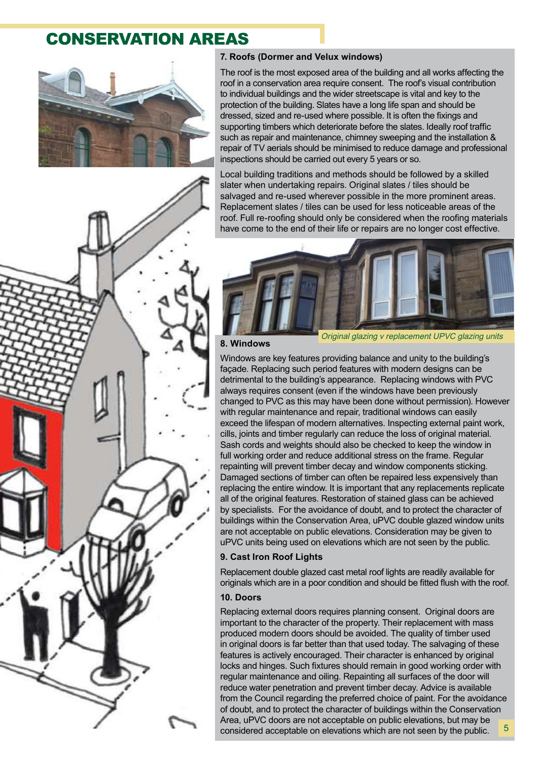### **CONSERVATION AREAS**



### **7. Roofs (Dormer and Velux windows)**

The roof is the most exposed area of the building and all works affecting the roof in a conservation area require consent. The roof's visual contribution to individual buildings and the wider streetscape is vital and key to the protection of the building. Slates have a long life span and should be dressed, sized and re-used where possible. It is often the fixings and supporting timbers which deteriorate before the slates. Ideally roof traffic such as repair and maintenance, chimney sweeping and the installation & repair of TV aerials should be minimised to reduce damage and professional inspections should be carried out every 5 years or so.

Local building traditions and methods should be followed by a skilled slater when undertaking repairs. Original slates / tiles should be salvaged and re-used wherever possible in the more prominent areas. Replacement slates / tiles can be used for less noticeable areas of the roof. Full re-roofing should only be considered when the roofing materials have come to the end of their life or repairs are no longer cost effective.





#### **8. Windows**

Original glazing v replacement UPVC glazing units

Windows are key features providing balance and unity to the building's façade. Replacing such period features with modern designs can be detrimental to the building's appearance. Replacing windows with PVC always requires consent (even if the windows have been previously changed to PVC as this may have been done without permission). However with regular maintenance and repair, traditional windows can easily exceed the lifespan of modern alternatives. Inspecting external paint work, cills, joints and timber regularly can reduce the loss of original material. Sash cords and weights should also be checked to keep the window in full working order and reduce additional stress on the frame. Regular repainting will prevent timber decay and window components sticking. Damaged sections of timber can often be repaired less expensively than replacing the entire window. It is important that any replacements replicate all of the original features. Restoration of stained glass can be achieved by specialists. For the avoidance of doubt, and to protect the character of buildings within the Conservation Area, uPVC double glazed window units are not acceptable on public elevations. Consideration may be given to uPVC units being used on elevations which are not seen by the public.

### **9. Cast Iron Roof Lights**

Replacement double glazed cast metal roof lights are readily available for originals which are in a poor condition and should be fitted flush with the roof.

### **10. Doors**

Replacing external doors requires planning consent. Original doors are important to the character of the property. Their replacement with mass produced modern doors should be avoided. The quality of timber used in original doors is far better than that used today. The salvaging of these features is actively encouraged. Their character is enhanced by original locks and hinges. Such fixtures should remain in good working order with regular maintenance and oiling. Repainting all surfaces of the door will reduce water penetration and prevent timber decay. Advice is available from the Council regarding the preferred choice of paint. For the avoidance of doubt, and to protect the character of buildings within the Conservation Area, uPVC doors are not acceptable on public elevations, but may be considered acceptable on elevations which are not seen by the public. 5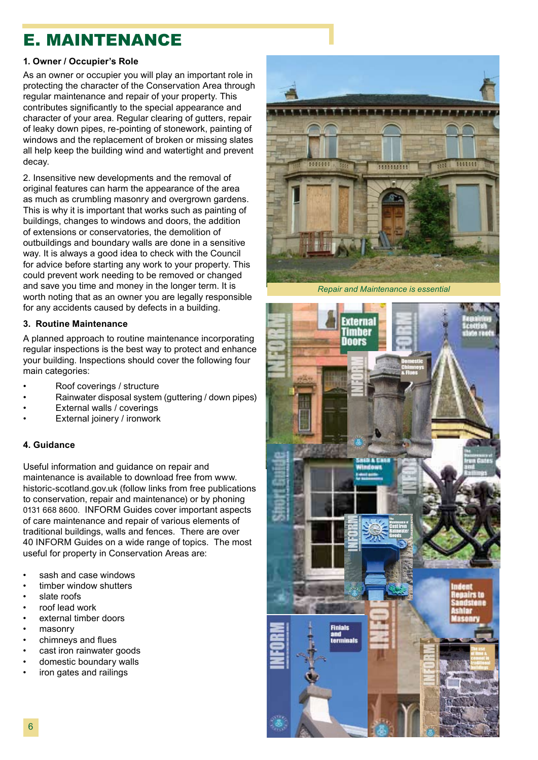### E. MAINTENANCE

### **1. Owner / Occupier's Role**

As an owner or occupier you will play an important role in protecting the character of the Conservation Area through regular maintenance and repair of your property. This contributes significantly to the special appearance and character of your area. Regular clearing of gutters, repair of leaky down pipes, re-pointing of stonework, painting of windows and the replacement of broken or missing slates all help keep the building wind and watertight and prevent decay.

2. Insensitive new developments and the removal of original features can harm the appearance of the area as much as crumbling masonry and overgrown gardens. This is why it is important that works such as painting of buildings, changes to windows and doors, the addition of extensions or conservatories, the demolition of outbuildings and boundary walls are done in a sensitive way. It is always a good idea to check with the Council for advice before starting any work to your property. This could prevent work needing to be removed or changed and save you time and money in the longer term. It is worth noting that as an owner you are legally responsible for any accidents caused by defects in a building.

### **3. Routine Maintenance**

A planned approach to routine maintenance incorporating regular inspections is the best way to protect and enhance your building. Inspections should cover the following four main categories:

- Roof coverings / structure
- Rainwater disposal system (guttering / down pipes)
- External walls / coverings
- External joinery / ironwork

### **4. Guidance**

Useful information and guidance on repair and maintenance is available to download free from www. historic-scotland.gov.uk (follow links from free publications to conservation, repair and maintenance) or by phoning 0131 668 8600. INFORM Guides cover important aspects of care maintenance and repair of various elements of traditional buildings, walls and fences. There are over 40 INFORM Guides on a wide range of topics. The most useful for property in Conservation Areas are:

- sash and case windows
- timber window shutters
- slate roofs
- roof lead work
- external timber doors
- masonry
- chimneys and flues
- cast iron rainwater goods
- domestic boundary walls
- iron gates and railings



*Repair and Maintenance is essential*

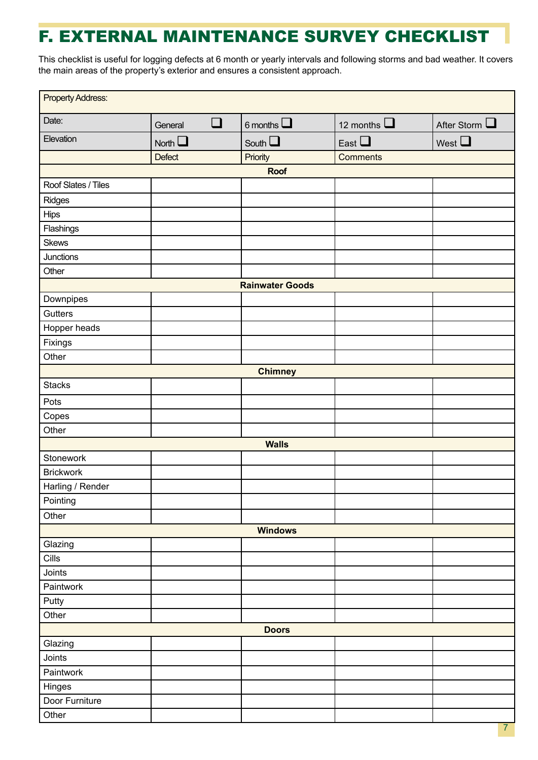# F. EXTERNAL MAINTENANCE SURVEY CHECKLIST

This checklist is useful for logging defects at 6 month or yearly intervals and following storms and bad weather. It covers the main areas of the property's exterior and ensures a consistent approach.

| <b>Property Address:</b> |                   |                 |                  |                       |  |  |
|--------------------------|-------------------|-----------------|------------------|-----------------------|--|--|
| Date:                    | $\Box$<br>General | 6 months $\Box$ | 12 months $\Box$ | After Storm $\square$ |  |  |
| Elevation                | North $\square$   | South $\square$ | East $\Box$      | West $\square$        |  |  |
|                          | <b>Defect</b>     | Priority        | <b>Comments</b>  |                       |  |  |
| <b>Roof</b>              |                   |                 |                  |                       |  |  |
| Roof Slates / Tiles      |                   |                 |                  |                       |  |  |
| Ridges                   |                   |                 |                  |                       |  |  |
| <b>Hips</b>              |                   |                 |                  |                       |  |  |
| Flashings                |                   |                 |                  |                       |  |  |
| <b>Skews</b>             |                   |                 |                  |                       |  |  |
| Junctions                |                   |                 |                  |                       |  |  |
| Other                    |                   |                 |                  |                       |  |  |
| <b>Rainwater Goods</b>   |                   |                 |                  |                       |  |  |
| Downpipes                |                   |                 |                  |                       |  |  |
| Gutters                  |                   |                 |                  |                       |  |  |
| Hopper heads             |                   |                 |                  |                       |  |  |
| Fixings                  |                   |                 |                  |                       |  |  |
| Other                    |                   |                 |                  |                       |  |  |
| <b>Chimney</b>           |                   |                 |                  |                       |  |  |
| <b>Stacks</b>            |                   |                 |                  |                       |  |  |
| Pots                     |                   |                 |                  |                       |  |  |
| Copes                    |                   |                 |                  |                       |  |  |
| Other                    |                   |                 |                  |                       |  |  |
| <b>Walls</b>             |                   |                 |                  |                       |  |  |
| Stonework                |                   |                 |                  |                       |  |  |
| <b>Brickwork</b>         |                   |                 |                  |                       |  |  |
| Harling / Render         |                   |                 |                  |                       |  |  |
| Pointing                 |                   |                 |                  |                       |  |  |
| Other                    |                   |                 |                  |                       |  |  |
| <b>Windows</b>           |                   |                 |                  |                       |  |  |
| Glazing                  |                   |                 |                  |                       |  |  |
| Cills                    |                   |                 |                  |                       |  |  |
| Joints                   |                   |                 |                  |                       |  |  |
| Paintwork                |                   |                 |                  |                       |  |  |
| Putty                    |                   |                 |                  |                       |  |  |
| Other                    |                   |                 |                  |                       |  |  |
| <b>Doors</b>             |                   |                 |                  |                       |  |  |
| Glazing                  |                   |                 |                  |                       |  |  |
| Joints                   |                   |                 |                  |                       |  |  |
| Paintwork                |                   |                 |                  |                       |  |  |
| Hinges                   |                   |                 |                  |                       |  |  |
| Door Furniture           |                   |                 |                  |                       |  |  |
| Other                    |                   |                 |                  |                       |  |  |